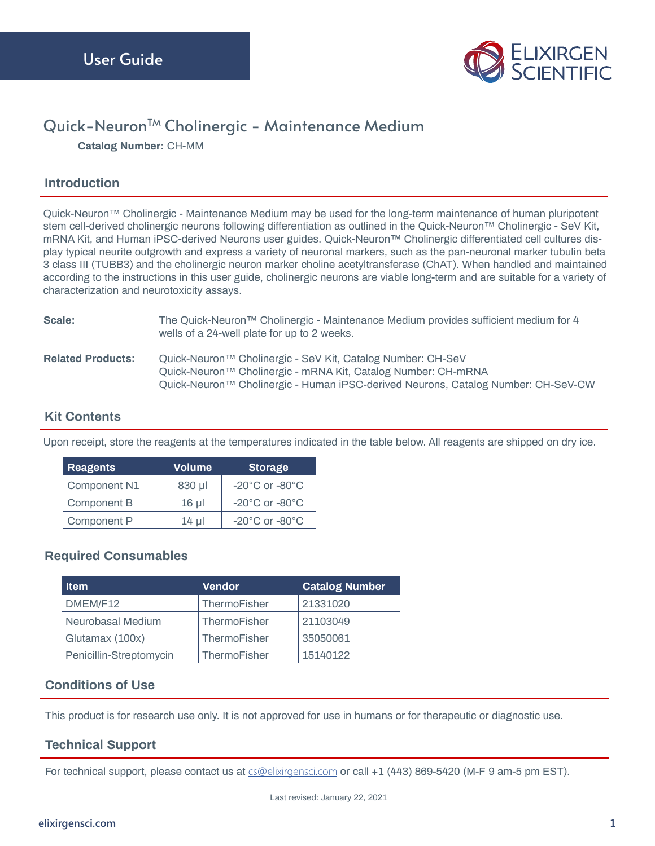

# Quick-Neuron<sup>™</sup> Cholinergic - Maintenance Medium

**Catalog Number:** CH-MM

### **Introduction**

Quick-Neuron™ Cholinergic - Maintenance Medium may be used for the long-term maintenance of human pluripotent stem cell-derived cholinergic neurons following differentiation as outlined in the Quick-Neuron™ Cholinergic - SeV Kit, mRNA Kit, and Human iPSC-derived Neurons user guides. Quick-Neuron™ Cholinergic differentiated cell cultures display typical neurite outgrowth and express a variety of neuronal markers, such as the pan-neuronal marker tubulin beta 3 class III (TUBB3) and the cholinergic neuron marker choline acetyltransferase (ChAT). When handled and maintained according to the instructions in this user guide, cholinergic neurons are viable long-term and are suitable for a variety of characterization and neurotoxicity assays.

| Scale:                   | The Quick-Neuron™ Cholinergic - Maintenance Medium provides sufficient medium for 4<br>wells of a 24-well plate for up to 2 weeks.                                                                                |
|--------------------------|-------------------------------------------------------------------------------------------------------------------------------------------------------------------------------------------------------------------|
| <b>Related Products:</b> | Quick-Neuron™ Cholinergic - SeV Kit, Catalog Number: CH-SeV<br>Quick-Neuron™ Cholinergic - mRNA Kit, Catalog Number: CH-mRNA<br>Quick-Neuron™ Cholinergic - Human iPSC-derived Neurons, Catalog Number: CH-SeV-CW |

### **Kit Contents**

Upon receipt, store the reagents at the temperatures indicated in the table below. All reagents are shipped on dry ice.

| <b>Reagents</b> | <b>Volume</b> | <b>Storage</b>                     |
|-----------------|---------------|------------------------------------|
| Component N1    | 830 µl        | $-20^{\circ}$ C or $-80^{\circ}$ C |
| Component B     | $16 \mu$      | $-20^{\circ}$ C or $-80^{\circ}$ C |
| Component P     | $14 \mu$      | $-20^{\circ}$ C or $-80^{\circ}$ C |

### **Required Consumables**

| ltem                    | <b>Vendor</b> | <b>Catalog Number</b> |
|-------------------------|---------------|-----------------------|
| DMEM/F12                | ThermoFisher  | 21331020              |
| Neurobasal Medium       | ThermoFisher  | 21103049              |
| Glutamax (100x)         | ThermoFisher  | 35050061              |
| Penicillin-Streptomycin | ThermoFisher  | 15140122              |

# **Conditions of Use**

This product is for research use only. It is not approved for use in humans or for therapeutic or diagnostic use.

### **Technical Support**

For technical support, please contact us at  $cs@elixirgensci.com$  or call +1 (443) 869-5420 (M-F 9 am-5 pm EST).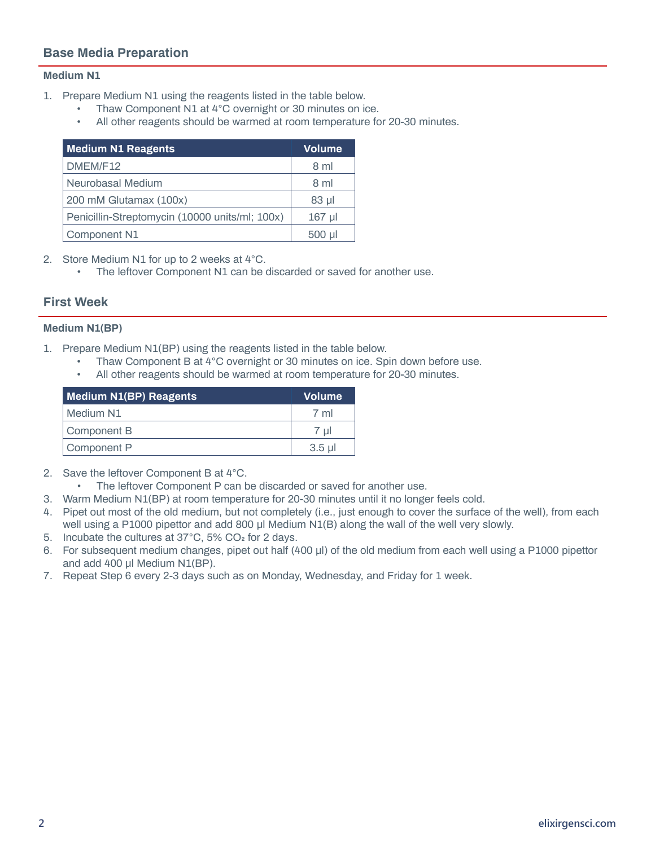# **Base Media Preparation**

#### **Medium N1**

- 1. Prepare Medium N1 using the reagents listed in the table below.
	- Thaw Component N1 at 4°C overnight or 30 minutes on ice.
	- All other reagents should be warmed at room temperature for 20-30 minutes.

| <b>Medium N1 Reagents</b>                      | <b>Volume</b> |
|------------------------------------------------|---------------|
| DMEM/F12                                       | 8 ml          |
| Neurobasal Medium                              | 8 ml          |
| 200 mM Glutamax (100x)                         | $83$ $\mu$    |
| Penicillin-Streptomycin (10000 units/ml; 100x) | $167$ µl      |
| Component N1                                   | $500$ $\mu$   |

2. Store Medium N1 for up to 2 weeks at 4°C.

• The leftover Component N1 can be discarded or saved for another use.

### **First Week**

#### **Medium N1(BP)**

- 1. Prepare Medium N1(BP) using the reagents listed in the table below.
	- Thaw Component B at 4°C overnight or 30 minutes on ice. Spin down before use.
	- All other reagents should be warmed at room temperature for 20-30 minutes.

| <b>Medium N1(BP) Reagents</b> | <b>Volume</b> |
|-------------------------------|---------------|
| Medium N1                     | 7 ml          |
| Component B                   | 7 ul          |
| Component P                   | $3.5$ ul      |

- 2. Save the leftover Component B at 4°C.
	- The leftover Component P can be discarded or saved for another use.
- 3. Warm Medium N1(BP) at room temperature for 20-30 minutes until it no longer feels cold.
- 4. Pipet out most of the old medium, but not completely (i.e., just enough to cover the surface of the well), from each well using a P1000 pipettor and add 800 μl Medium N1(B) along the wall of the well very slowly.
- 5. Incubate the cultures at 37°C, 5% CO2 for 2 days.
- 6. For subsequent medium changes, pipet out half (400 μl) of the old medium from each well using a P1000 pipettor and add 400 μl Medium N1(BP).
- 7. Repeat Step 6 every 2-3 days such as on Monday, Wednesday, and Friday for 1 week.